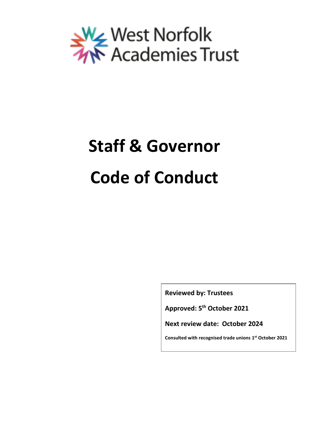

# **Staff & Governor Code of Conduct**

**Reviewed by: Trustees**

**Approved: 5 th October 2021**

**Next review date: October 2024**

**Consulted with recognised trade unions 1 st October 2021**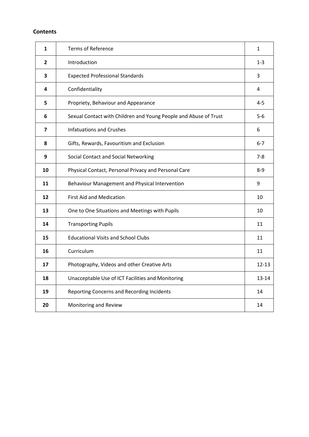# **Contents**

| $\mathbf{1}$ | <b>Terms of Reference</b>                                        | 1         |
|--------------|------------------------------------------------------------------|-----------|
| 2            | Introduction                                                     | $1 - 3$   |
| 3            | <b>Expected Professional Standards</b>                           | 3         |
| 4            | Confidentiality                                                  | 4         |
| 5            | Propriety, Behaviour and Appearance                              | $4 - 5$   |
| 6            | Sexual Contact with Children and Young People and Abuse of Trust | $5-6$     |
| 7            | <b>Infatuations and Crushes</b>                                  | 6         |
| 8            | Gifts, Rewards, Favouritism and Exclusion                        | $6 - 7$   |
| 9            | Social Contact and Social Networking                             | $7 - 8$   |
| 10           | Physical Contact, Personal Privacy and Personal Care             | $8-9$     |
| 11           | Behaviour Management and Physical Intervention                   | 9         |
| 12           | <b>First Aid and Medication</b>                                  | 10        |
| 13           | One to One Situations and Meetings with Pupils                   | 10        |
| 14           | <b>Transporting Pupils</b>                                       | 11        |
| 15           | <b>Educational Visits and School Clubs</b>                       | 11        |
| 16           | Curriculum                                                       | 11        |
| 17           | Photography, Videos and other Creative Arts                      | $12 - 13$ |
| 18           | Unacceptable Use of ICT Facilities and Monitoring                | 13-14     |
| 19           | Reporting Concerns and Recording Incidents                       | 14        |
| 20           | Monitoring and Review                                            | 14        |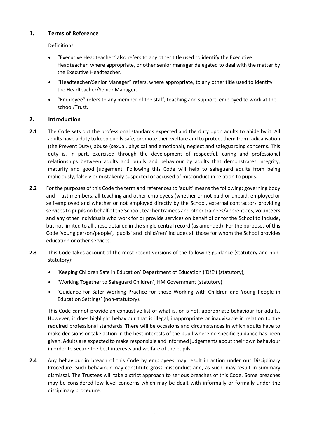# **1. Terms of Reference**

Definitions:

- "Executive Headteacher" also refers to any other title used to identify the Executive Headteacher, where appropriate, or other senior manager delegated to deal with the matter by the Executive Headteacher.
- "Headteacher/Senior Manager" refers, where appropriate, to any other title used to identify the Headteacher/Senior Manager.
- "Employee" refers to any member of the staff, teaching and support, employed to work at the school/Trust.

# **2. Introduction**

- **2.1** The Code sets out the professional standards expected and the duty upon adults to abide by it. All adults have a duty to keep pupils safe, promote their welfare and to protect them from radicalisation (the Prevent Duty), abuse (sexual, physical and emotional), neglect and safeguarding concerns. This duty is, in part, exercised through the development of respectful, caring and professional relationships between adults and pupils and behaviour by adults that demonstrates integrity, maturity and good judgement. Following this Code will help to safeguard adults from being maliciously, falsely or mistakenly suspected or accused of misconduct in relation to pupils.
- **2.2** For the purposes of this Code the term and references to 'adult' means the following: governing body and Trust members, all teaching and other employees (whether or not paid or unpaid, employed or self-employed and whether or not employed directly by the School, external contractors providing services to pupils on behalf of the School, teacher trainees and other trainees/apprentices, volunteers and any other individuals who work for or provide services on behalf of or for the School to include, but not limited to all those detailed in the single central record (as amended). For the purposes of this Code 'young person/people', 'pupils' and 'child/ren' includes all those for whom the School provides education or other services.
- **2.3** This Code takes account of the most recent versions of the following guidance (statutory and nonstatutory);
	- 'Keeping Children Safe in Education' Department of Education ('DfE') (statutory),
	- 'Working Together to Safeguard Children', HM Government (statutory)
	- 'Guidance for Safer Working Practice for those Working with Children and Young People in Education Settings' (non-statutory).

This Code cannot provide an exhaustive list of what is, or is not, appropriate behaviour for adults. However, it does highlight behaviour that is illegal, inappropriate or inadvisable in relation to the required professional standards. There will be occasions and circumstances in which adults have to make decisions or take action in the best interests of the pupil where no specific guidance has been given. Adults are expected to make responsible and informed judgements about their own behaviour in order to secure the best interests and welfare of the pupils.

**2.4** Any behaviour in breach of this Code by employees may result in action under our Disciplinary Procedure. Such behaviour may constitute gross misconduct and, as such, may result in summary dismissal. The Trustees will take a strict approach to serious breaches of this Code. Some breaches may be considered low level concerns which may be dealt with informally or formally under the disciplinary procedure.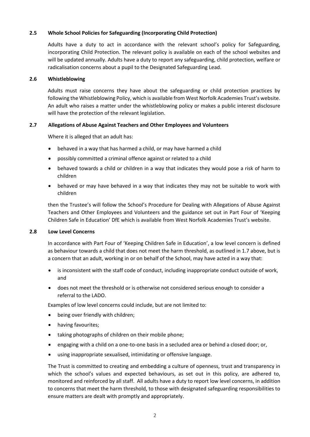# **2.5 Whole School Policies for Safeguarding (Incorporating Child Protection)**

Adults have a duty to act in accordance with the relevant school's policy for Safeguarding, incorporating Child Protection. The relevant policy is available on each of the school websites and will be updated annually. Adults have a duty to report any safeguarding, child protection, welfare or radicalisation concerns about a pupil to the Designated Safeguarding Lead.

#### **2.6 Whistleblowing**

Adults must raise concerns they have about the safeguarding or child protection practices by following the Whistleblowing Policy, which is available from West Norfolk Academies Trust's website. An adult who raises a matter under the whistleblowing policy or makes a public interest disclosure will have the protection of the relevant legislation.

#### **2.7 Allegations of Abuse Against Teachers and Other Employees and Volunteers**

Where it is alleged that an adult has:

- behaved in a way that has harmed a child, or may have harmed a child
- possibly committed a criminal offence against or related to a child
- behaved towards a child or children in a way that indicates they would pose a risk of harm to children
- behaved or may have behaved in a way that indicates they may not be suitable to work with children

then the Trustee's will follow the School's Procedure for Dealing with Allegations of Abuse Against Teachers and Other Employees and Volunteers and the guidance set out in Part Four of 'Keeping Children Safe in Education' DfE which is available from West Norfolk Academies Trust's website.

#### **2.8 Low Level Concerns**

In accordance with Part Four of 'Keeping Children Safe in Education', a low level concern is defined as behaviour towards a child that does not meet the harm threshold, as outlined in 1.7 above, but is a concern that an adult, working in or on behalf of the School, may have acted in a way that:

- is inconsistent with the staff code of conduct, including inappropriate conduct outside of work, and
- does not meet the threshold or is otherwise not considered serious enough to consider a referral to the LADO.

Examples of low level concerns could include, but are not limited to:

- being over friendly with children;
- having favourites;
- taking photographs of children on their mobile phone;
- engaging with a child on a one-to-one basis in a secluded area or behind a closed door; or,
- using inappropriate sexualised, intimidating or offensive language.

The Trust is committed to creating and embedding a culture of openness, trust and transparency in which the school's values and expected behaviours, as set out in this policy, are adhered to, monitored and reinforced by all staff. All adults have a duty to report low level concerns, in addition to concerns that meet the harm threshold, to those with designated safeguarding responsibilities to ensure matters are dealt with promptly and appropriately.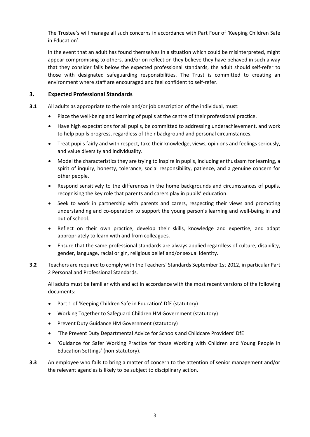The Trustee's will manage all such concerns in accordance with Part Four of 'Keeping Children Safe in Education'.

In the event that an adult has found themselves in a situation which could be misinterpreted, might appear compromising to others, and/or on reflection they believe they have behaved in such a way that they consider falls below the expected professional standards, the adult should self-refer to those with designated safeguarding responsibilities. The Trust is committed to creating an environment where staff are encouraged and feel confident to self-refer.

# **3. Expected Professional Standards**

- **3.1** All adults as appropriate to the role and/or job description of the individual, must:
	- Place the well-being and learning of pupils at the centre of their professional practice.
	- Have high expectations for all pupils, be committed to addressing underachievement, and work to help pupils progress, regardless of their background and personal circumstances.
	- Treat pupils fairly and with respect, take their knowledge, views, opinions and feelings seriously, and value diversity and individuality.
	- Model the characteristics they are trying to inspire in pupils, including enthusiasm for learning, a spirit of inquiry, honesty, tolerance, social responsibility, patience, and a genuine concern for other people.
	- Respond sensitively to the differences in the home backgrounds and circumstances of pupils, recognising the key role that parents and carers play in pupils' education.
	- Seek to work in partnership with parents and carers, respecting their views and promoting understanding and co-operation to support the young person's learning and well-being in and out of school.
	- Reflect on their own practice, develop their skills, knowledge and expertise, and adapt appropriately to learn with and from colleagues.
	- Ensure that the same professional standards are always applied regardless of culture, disability, gender, language, racial origin, religious belief and/or sexual identity.
- **3.2** Teachers are required to comply with the [Teachers' Standards September 1s](https://www.gov.uk/government/uploads/system/uploads/attachment_data/file/301107/Teachers__Standards.pdf)t 2012, in particular Part 2 Personal and Professional Standards.

All adults must be familiar with and act in accordance with the most recent versions of the following documents:

- Part 1 of 'Keeping Children Safe in Education' DfE (statutory)
- Working Together to Safeguard Children HM Government (statutory)
- Prevent Duty Guidance HM Government (statutory)
- 'The Prevent Duty Departmental Advice for Schools and Childcare Providers' DfE
- 'Guidance for Safer Working Practice for those Working with Children and Young People in Education Settings' (non-statutory).
- **3.3** An employee who fails to bring a matter of concern to the attention of senior management and/or the relevant agencies is likely to be subject to disciplinary action.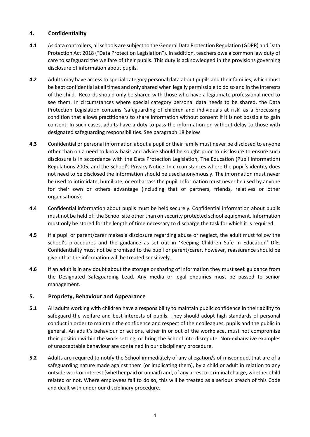# **4. Confidentiality**

- **4.1** As data controllers, all schools are subject to the General Data Protection Regulation (GDPR) and Data Protection Act 2018 ("Data Protection Legislation"). In addition, teachers owe a common law duty of care to safeguard the welfare of their pupils. This duty is acknowledged in the provisions governing disclosure of information about pupils.
- **4.2** Adults may have access to special category personal data about pupils and their families, which must be kept confidential at all times and only shared when legally permissible to do so and in the interests of the child. Records should only be shared with those who have a legitimate professional need to see them. In circumstances where special category personal data needs to be shared, the Data Protection Legislation contains 'safeguarding of children and individuals at risk' as a processing condition that allows practitioners to share information without consent if it is not possible to gain consent. In such cases, adults have a duty to pass the information on without delay to those with designated safeguarding responsibilities. See paragraph 18 below
- **4.3** Confidential or personal information about a pupil or their family must never be disclosed to anyone other than on a need to know basis and advice should be sought prior to disclosure to ensure such disclosure is in accordance with the Data Protection Legislation, The Education (Pupil Information) Regulations 2005, and the School's Privacy Notice. In circumstances where the pupil's identity does not need to be disclosed the information should be used anonymously. The information must never be used to intimidate, humiliate, or embarrass the pupil. Information must never be used by anyone for their own or others advantage (including that of partners, friends, relatives or other organisations).
- **4.4** Confidential information about pupils must be held securely. Confidential information about pupils must not be held off the School site other than on security protected school equipment. Information must only be stored for the length of time necessary to discharge the task for which it is required.
- **4.5** If a pupil or parent/carer makes a disclosure regarding abuse or neglect, the adult must follow the school's procedures and the guidance as set out in 'Keeping Children Safe in Education' DfE. Confidentiality must not be promised to the pupil or parent/carer, however, reassurance should be given that the information will be treated sensitively.
- **4.6** If an adult is in any doubt about the storage or sharing of information they must seek guidance from the Designated Safeguarding Lead. Any media or legal enquiries must be passed to senior management.

# **5. Propriety, Behaviour and Appearance**

- **5.1** All adults working with children have a responsibility to maintain public confidence in their ability to safeguard the welfare and best interests of pupils. They should adopt high standards of personal conduct in order to maintain the confidence and respect of their colleagues, pupils and the public in general. An adult's behaviour or actions, either in or out of the workplace, must not compromise their position within the work setting, or bring the School into disrepute. Non-exhaustive examples of unacceptable behaviour are contained in our disciplinary procedure.
- **5.2** Adults are required to notify the School immediately of any allegation/s of misconduct that are of a safeguarding nature made against them (or implicating them), by a child or adult in relation to any outside work or interest (whether paid or unpaid) and, of any arrest or criminal charge, whether child related or not. Where employees fail to do so, this will be treated as a serious breach of this Code and dealt with under our disciplinary procedure.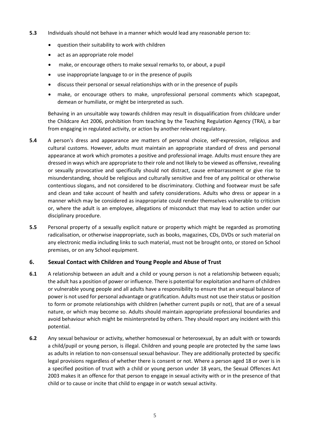- **5.3** Individuals should not behave in a manner which would lead any reasonable person to:
	- question their suitability to work with children
	- act as an appropriate role model
	- make, or encourage others to make sexual remarks to, or about, a pupil
	- use inappropriate language to or in the presence of pupils
	- discuss their personal or sexual relationships with or in the presence of pupils
	- make, or encourage others to make, unprofessional personal comments which scapegoat, demean or humiliate, or might be interpreted as such.

Behaving in an unsuitable way towards children may result in disqualification from childcare under the Childcare Act 2006, prohibition from teaching by the Teaching Regulation Agency (TRA), a bar from engaging in regulated activity, or action by another relevant regulatory.

- **5.4** A person's dress and appearance are matters of personal choice, self-expression, religious and cultural customs. However, adults must maintain an appropriate standard of dress and personal appearance at work which promotes a positive and professional image. Adults must ensure they are dressed in ways which are appropriate to their role and not likely to be viewed as offensive, revealing or sexually provocative and specifically should not distract, cause embarrassment or give rise to misunderstanding, should be religious and culturally sensitive and free of any political or otherwise contentious slogans, and not considered to be discriminatory. Clothing and footwear must be safe and clean and take account of health and safety considerations. Adults who dress or appear in a manner which may be considered as inappropriate could render themselves vulnerable to criticism or, where the adult is an employee, allegations of misconduct that may lead to action under our disciplinary procedure.
- **5.5** Personal property of a sexually explicit nature or property which might be regarded as promoting radicalisation, or otherwise inappropriate, such as books, magazines, CDs, DVDs or such material on any electronic media including links to such material, must not be brought onto, or stored on School premises, or on any School equipment.

# **6. Sexual Contact with Children and Young People and Abuse of Trust**

- **6.1** A relationship between an adult and a child or young person is not a relationship between equals; the adult has a position of power or influence. There is potential for exploitation and harm of children or vulnerable young people and all adults have a responsibility to ensure that an unequal balance of power is not used for personal advantage or gratification. Adults must not use their status or position to form or promote relationships with children (whether current pupils or not), that are of a sexual nature, or which may become so. Adults should maintain appropriate professional boundaries and avoid behaviour which might be misinterpreted by others. They should report any incident with this potential.
- **6.2** Any sexual behaviour or activity, whether homosexual or heterosexual, by an adult with or towards a child/pupil or young person, is illegal. Children and young people are protected by the same laws as adults in relation to non-consensual sexual behaviour. They are additionally protected by specific legal provisions regardless of whether there is consent or not. Where a person aged 18 or over is in a specified position of trust with a child or young person under 18 years, the Sexual Offences Act 2003 makes it an offence for that person to engage in sexual activity with or in the presence of that child or to cause or incite that child to engage in or watch sexual activity.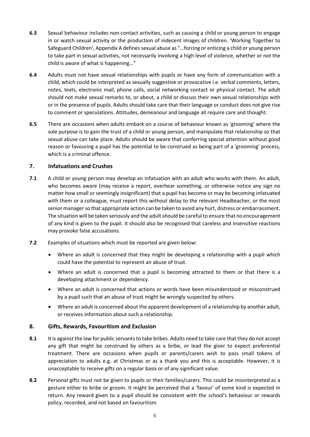- **6.3** Sexual behaviour includes non-contact activities, such as causing a child or young person to engage in or watch sexual activity or the production of indecent images of children. 'Working Together to Safeguard Children', Appendix A defines sexual abuse as "…forcing or enticing a child or young person to take part in sexual activities, not necessarily involving a high level of violence, whether or not the child is aware of what is happening…"
- **6.4** Adults must not have sexual relationships with pupils or have any form of communication with a child, which could be interpreted as sexually suggestive or provocative i.e. verbal comments, letters, notes, texts, electronic mail, phone calls, social networking contact or physical contact. The adult should not make sexual remarks to, or about, a child or discuss their own sexual relationships with or in the presence of pupils. Adults should take care that their language or conduct does not give rise to comment or speculations. Attitudes, demeanour and language all require care and thought.
- **6.5** There are occasions when adults embark on a course of behaviour known as 'grooming' where the sole purpose is to gain the trust of a child or young person, and manipulate that relationship so that sexual abuse can take place. Adults should be aware that conferring special attention without good reason or favouring a pupil has the potential to be construed as being part of a 'grooming' process, which is a criminal offence.

# **7. Infatuations and Crushes**

- **7.1** A child or young person may develop an infatuation with an adult who works with them. An adult, who becomes aware (may receive a report, overhear something, or otherwise notice any sign no matter how small or seemingly insignificant) that a pupil has become or may be becoming infatuated with them or a colleague, must report this without delay to the relevant Headteacher, or the most senior manager so that appropriate action can be taken to avoid any hurt, distress or embarrassment. The situation will be taken seriously and the adult should be careful to ensure that no encouragement of any kind is given to the pupil. It should also be recognised that careless and insensitive reactions may provoke false accusations.
- **7.2** Examples of situations which must be reported are given below:
	- Where an adult is concerned that they might be developing a relationship with a pupil which could have the potential to represent an abuse of trust.
	- Where an adult is concerned that a pupil is becoming attracted to them or that there is a developing attachment or dependency.
	- Where an adult is concerned that actions or words have been misunderstood or misconstrued by a pupil such that an abuse of trust might be wrongly suspected by others.
	- Where an adult is concerned about the apparent development of a relationship by another adult, or receives information about such a relationship.

# **8. Gifts, Rewards, Favouritism and Exclusion**

- **8.1** It is against the law for public servants to take bribes. Adults need to take care that they do not accept any gift that might be construed by others as a bribe, or lead the giver to expect preferential treatment. There are occasions when pupils or parents/carers wish to pass small tokens of appreciation to adults e.g. at Christmas or as a thank you and this is acceptable. However, it is unacceptable to receive gifts on a regular basis or of any significant value.
- **8.2** Personal gifts must not be given to pupils or their families/carers. This could be misinterpreted as a gesture either to bribe or groom. It might be perceived that a 'favour' of some kind is expected in return. Any reward given to a pupil should be consistent with the school's behaviour or rewards policy, recorded, and not based on favouritism.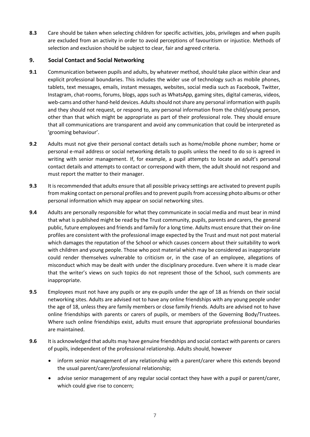**8.3** Care should be taken when selecting children for specific activities, jobs, privileges and when pupils are excluded from an activity in order to avoid perceptions of favouritism or injustice. Methods of selection and exclusion should be subject to clear, fair and agreed criteria.

# **9. Social Contact and Social Networking**

- **9.1** Communication between pupils and adults, by whatever method, should take place within clear and explicit professional boundaries. This includes the wider use of technology such as mobile phones, tablets, text messages, emails, instant messages, websites, social media such as Facebook, Twitter, Instagram, chat-rooms, forums, blogs, apps such as WhatsApp, gaming sites, digital cameras, videos, web-cams and other hand-held devices. Adults should not share any personal information with pupils and they should not request, or respond to, any personal information from the child/young person, other than that which might be appropriate as part of their professional role. They should ensure that all communications are transparent and avoid any communication that could be interpreted as 'grooming behaviour'.
- **9.2** Adults must not give their personal contact details such as home/mobile phone number; home or personal e-mail address or social networking details to pupils unless the need to do so is agreed in writing with senior management. If, for example, a pupil attempts to locate an adult's personal contact details and attempts to contact or correspond with them, the adult should not respond and must report the matter to their manager.
- **9.3** It is recommended that adults ensure that all possible privacy settings are activated to prevent pupils from making contact on personal profiles and to prevent pupils from accessing photo albums or other personal information which may appear on social networking sites.
- **9.4** Adults are personally responsible for what they communicate in social media and must bear in mind that what is published might be read by the Trust community, pupils, parents and carers, the general public, future employees and friends and family for a long time. Adults must ensure that their on-line profiles are consistent with the professional image expected by the Trust and must not post material which damages the reputation of the School or which causes concern about their suitability to work with children and young people. Those who post material which may be considered as inappropriate could render themselves vulnerable to criticism or, in the case of an employee, allegations of misconduct which may be dealt with under the disciplinary procedure. Even where it is made clear that the writer's views on such topics do not represent those of the School, such comments are inappropriate.
- **9.5** Employees must not have any pupils or any ex-pupils under the age of 18 as friends on their social networking sites. Adults are advised not to have any online friendships with any young people under the age of 18, unless they are family members or close family friends. Adults are advised not to have online friendships with parents or carers of pupils, or members of the Governing Body/Trustees. Where such online friendships exist, adults must ensure that appropriate professional boundaries are maintained.
- **9.6** It is acknowledged that adults may have genuine friendships and social contact with parents or carers of pupils, independent of the professional relationship. Adults should, however
	- inform senior management of any relationship with a parent/carer where this extends beyond the usual parent/carer/professional relationship;
	- advise senior management of any regular social contact they have with a pupil or parent/carer, which could give rise to concern;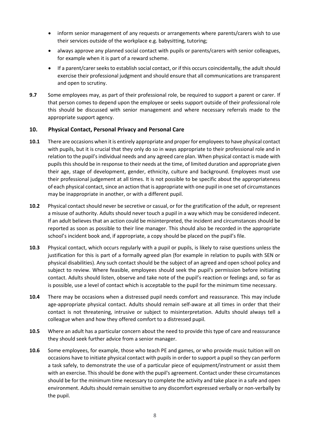- inform senior management of any requests or arrangements where parents/carers wish to use their services outside of the workplace e.g. babysitting, tutoring;
- always approve any planned social contact with pupils or parents/carers with senior colleagues, for example when it is part of a reward scheme.
- If a parent/carer seeks to establish social contact, or if this occurs coincidentally, the adult should exercise their professional judgment and should ensure that all communications are transparent and open to scrutiny.
- **9.7** Some employees may, as part of their professional role, be required to support a parent or carer. If that person comes to depend upon the employee or seeks support outside of their professional role this should be discussed with senior management and where necessary referrals made to the appropriate support agency.

# **10. Physical Contact, Personal Privacy and Personal Care**

- **10.1** There are occasions when it is entirely appropriate and proper for employees to have physical contact with pupils, but it is crucial that they only do so in ways appropriate to their professional role and in relation to the pupil's individual needs and any agreed care plan. When physical contact is made with pupils this should be in response to their needs at the time, of limited duration and appropriate given their age, stage of development, gender, ethnicity, culture and background. Employees must use their professional judgement at all times. It is not possible to be specific about the appropriateness of each physical contact, since an action that is appropriate with one pupil in one set of circumstances may be inappropriate in another, or with a different pupil.
- **10.2** Physical contact should never be secretive or casual, or for the gratification of the adult, or represent a misuse of authority. Adults should never touch a pupil in a way which may be considered indecent. If an adult believes that an action could be misinterpreted, the incident and circumstances should be reported as soon as possible to their line manager. This should also be recorded in the appropriate school's incident book and, if appropriate, a copy should be placed on the pupil's file.
- **10.3** Physical contact, which occurs regularly with a pupil or pupils, is likely to raise questions unless the justification for this is part of a formally agreed plan (for example in relation to pupils with SEN or physical disabilities). Any such contact should be the subject of an agreed and open school policy and subject to review. Where feasible, employees should seek the pupil's permission before initiating contact. Adults should listen, observe and take note of the pupil's reaction or feelings and, so far as is possible, use a level of contact which is acceptable to the pupil for the minimum time necessary.
- **10.4** There may be occasions when a distressed pupil needs comfort and reassurance. This may include age-appropriate physical contact. Adults should remain self-aware at all times in order that their contact is not threatening, intrusive or subject to misinterpretation. Adults should always tell a colleague when and how they offered comfort to a distressed pupil.
- **10.5** Where an adult has a particular concern about the need to provide this type of care and reassurance they should seek further advice from a senior manager.
- **10.6** Some employees, for example, those who teach PE and games, or who provide music tuition will on occasions have to initiate physical contact with pupils in order to support a pupil so they can perform a task safely, to demonstrate the use of a particular piece of equipment/instrument or assist them with an exercise. This should be done with the pupil's agreement. Contact under these circumstances should be for the minimum time necessary to complete the activity and take place in a safe and open environment. Adults should remain sensitive to any discomfort expressed verbally or non-verbally by the pupil.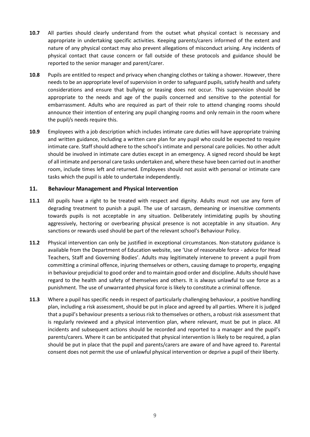- **10.7** All parties should clearly understand from the outset what physical contact is necessary and appropriate in undertaking specific activities. Keeping parents/carers informed of the extent and nature of any physical contact may also prevent allegations of misconduct arising. Any incidents of physical contact that cause concern or fall outside of these protocols and guidance should be reported to the senior manager and parent/carer.
- **10.8** Pupils are entitled to respect and privacy when changing clothes or taking a shower. However, there needs to be an appropriate level of supervision in order to safeguard pupils, satisfy health and safety considerations and ensure that bullying or teasing does not occur. This supervision should be appropriate to the needs and age of the pupils concerned and sensitive to the potential for embarrassment. Adults who are required as part of their role to attend changing rooms should announce their intention of entering any pupil changing rooms and only remain in the room where the pupil/s needs require this.
- **10.9** Employees with a job description which includes intimate care duties will have appropriate training and written guidance, including a written care plan for any pupil who could be expected to require intimate care. Staff should adhere to the school's intimate and personal care policies. No other adult should be involved in intimate care duties except in an emergency. A signed record should be kept of all intimate and personal care tasks undertaken and, where these have been carried out in another room, include times left and returned. Employees should not assist with personal or intimate care tasks which the pupil is able to undertake independently.

# **11. Behaviour Management and Physical Intervention**

- **11.1** All pupils have a right to be treated with respect and dignity. Adults must not use any form of degrading treatment to punish a pupil. The use of sarcasm, demeaning or insensitive comments towards pupils is not acceptable in any situation. Deliberately intimidating pupils by shouting aggressively, hectoring or overbearing physical presence is not acceptable in any situation. Any sanctions or rewards used should be part of the relevant school's Behaviour Policy.
- **11.2** Physical intervention can only be justified in exceptional circumstances. Non-statutory guidance is available from the Department of Education website, see 'Use of reasonable force - advice for Head Teachers, Staff and Governing Bodies'. Adults may legitimately intervene to prevent a pupil from committing a criminal offence, injuring themselves or others, causing damage to property, engaging in behaviour prejudicial to good order and to maintain good order and discipline. Adults should have regard to the health and safety of themselves and others. It is always unlawful to use force as a punishment. The use of unwarranted physical force is likely to constitute a criminal offence.
- **11.3** Where a pupil has specific needs in respect of particularly challenging behaviour, a positive handling plan, including a risk assessment, should be put in place and agreed by all parties. Where it is judged that a pupil's behaviour presents a serious risk to themselves or others, a robust risk assessment that is regularly reviewed and a physical intervention plan, where relevant, must be put in place. All incidents and subsequent actions should be recorded and reported to a manager and the pupil's parents/carers. Where it can be anticipated that physical intervention is likely to be required, a plan should be put in place that the pupil and parents/carers are aware of and have agreed to. Parental consent does not permit the use of unlawful physical intervention or deprive a pupil of their liberty.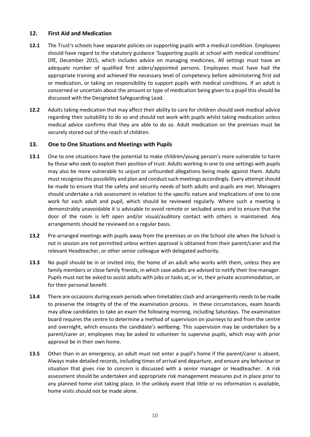# **12. First Aid and Medication**

- **12.1** The Trust's schools have separate policies on supporting pupils with a medical condition. Employees should have regard to the statutory guidance 'Supporting pupils at school with medical conditions' DfE, December 2015, which includes advice on managing medicines. All settings must have an adequate number of qualified first aiders/appointed persons. Employees must have had the appropriate training and achieved the necessary level of competency before administering first aid or medication, or taking on responsibility to support pupils with medical conditions. If an adult is concerned or uncertain about the amount or type of medication being given to a pupil this should be discussed with the Designated Safeguarding Lead.
- **12.2** Adults taking medication that may affect their ability to care for children should seek medical advice regarding their suitability to do so and should not work with pupils whilst taking medication unless medical advice confirms that they are able to do so. Adult medication on the premises must be securely stored out of the reach of children.

#### **13. One to One Situations and Meetings with Pupils**

- **13.1** One to one situations have the potential to make children/young person's more vulnerable to harm by those who seek to exploit their position of trust. Adults working in one to one settings with pupils may also be more vulnerable to unjust or unfounded allegations being made against them. Adults must recognise this possibility and plan and conduct such meetings accordingly. Every attempt should be made to ensure that the safety and security needs of both adults and pupils are met. Managers should undertake a risk assessment in relation to the specific nature and implications of one to one work for each adult and pupil, which should be reviewed regularly. Where such a meeting is demonstrably unavoidable it is advisable to avoid remote or secluded areas and to ensure that the door of the room is left open and/or visual/auditory contact with others is maintained. Any arrangements should be reviewed on a regular basis.
- **13.2** Pre-arranged meetings with pupils away from the premises or on the School site when the School is not in session are not permitted unless written approval is obtained from their parent/carer and the relevant Headteacher, or other senior colleague with delegated authority.
- **13.3** No pupil should be in or invited into, the home of an adult who works with them, unless they are family members or close family friends, in which case adults are advised to notify their line manager. Pupils must not be asked to assist adults with jobs or tasks at, or in, their private accommodation, or for their personal benefit.
- **13.4** There are occasions during exam periods when timetables clash and arrangements needs to be made to preserve the integrity of the of the examination process. In these circumstances, exam boards may allow candidates to take an exam the following morning, including Saturdays. The examination board requires the centre to determine a method of supervision on journeys to and from the centre and overnight, which ensures the candidate's wellbeing. This supervision may be undertaken by a parent/carer or, employees may be asked to volunteer to supervise pupils, which may with prior approval be in their own home.
- **13.5** Other than in an emergency, an adult must not enter a pupil's home if the parent/carer is absent. Always make detailed records, including times of arrival and departure, and ensure any behaviour or situation that gives rise to concern is discussed with a senior manager or Headteacher. A risk assessment should be undertaken and appropriate risk management measures put in place prior to any planned home visit taking place. In the unlikely event that little or no information is available, home visits should not be made alone.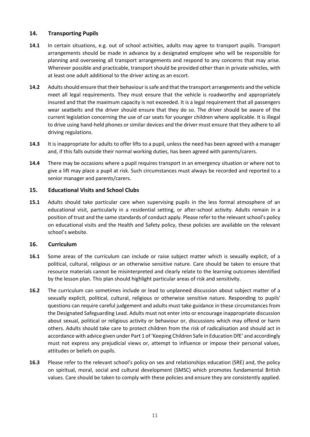# **14. Transporting Pupils**

- **14.1** In certain situations, e.g. out of school activities, adults may agree to transport pupils. Transport arrangements should be made in advance by a designated employee who will be responsible for planning and overseeing all transport arrangements and respond to any concerns that may arise. Wherever possible and practicable, transport should be provided other than in private vehicles, with at least one adult additional to the driver acting as an escort.
- **14.2** Adults should ensure that their behaviour is safe and that the transport arrangements and the vehicle meet all legal requirements. They must ensure that the vehicle is roadworthy and appropriately insured and that the maximum capacity is not exceeded. It is a legal requirement that all passengers wear seatbelts and the driver should ensure that they do so. The driver should be aware of the current legislation concerning the use of car seats for younger children where applicable. It is illegal to drive using hand-held phones or similar devices and the driver must ensure that they adhere to all driving regulations.
- **14.3** It is inappropriate for adults to offer lifts to a pupil, unless the need has been agreed with a manager and, if this falls outside their normal working duties, has been agreed with parents/carers.
- **14.4** There may be occasions where a pupil requires transport in an emergency situation or where not to give a lift may place a pupil at risk. Such circumstances must always be recorded and reported to a senior manager and parents/carers.

# **15. Educational Visits and School Clubs**

**15.1** Adults should take particular care when supervising pupils in the less formal atmosphere of an educational visit, particularly in a residential setting, or after-school activity. Adults remain in a position of trust and the same standards of conduct apply. Please refer to the relevant school's policy on educational visits and the Health and Safety policy, these policies are available on the relevant school's website.

# **16. Curriculum**

- **16.1** Some areas of the curriculum can include or raise subject matter which is sexually explicit, of a political, cultural, religious or an otherwise sensitive nature. Care should be taken to ensure that resource materials cannot be misinterpreted and clearly relate to the learning outcomes identified by the lesson plan. This plan should highlight particular areas of risk and sensitivity.
- **16.2** The curriculum can sometimes include or lead to unplanned discussion about subject matter of a sexually explicit, political, cultural, religious or otherwise sensitive nature. Responding to pupils' questions can require careful judgement and adults must take guidance in these circumstances from the Designated Safeguarding Lead. Adults must not enter into or encourage inappropriate discussion about sexual, political or religious activity or behaviour or, discussions which may offend or harm others. Adults should take care to protect children from the risk of radicalisation and should act in accordance with advice given under Part 1 of 'Keeping Children Safe in Education DfE' and accordingly must not express any prejudicial views or, attempt to influence or impose their personal values, attitudes or beliefs on pupils.
- **16.3** Please refer to the relevant school's policy on sex and relationships education (SRE) and, the policy on spiritual, moral, social and cultural development (SMSC) which promotes fundamental British values. Care should be taken to comply with these policies and ensure they are consistently applied.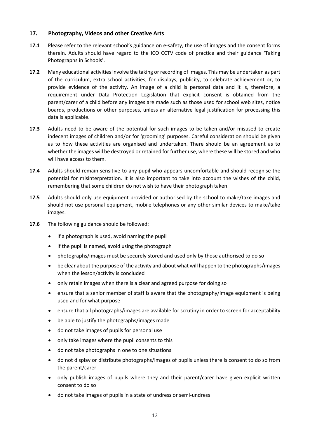# **17. Photography, Videos and other Creative Arts**

- **17.1** Please refer to the relevant school's guidance on e-safety, the use of images and the consent forms therein. Adults should have regard to the ICO CCTV code of practice and their guidance 'Taking Photographs in Schools'.
- **17.2** Many educational activities involve the taking or recording of images. This may be undertaken as part of the curriculum, extra school activities, for displays, publicity, to celebrate achievement or, to provide evidence of the activity. An image of a child is personal data and it is, therefore, a requirement under Data Protection Legislation that explicit consent is obtained from the parent/carer of a child before any images are made such as those used for school web sites, notice boards, productions or other purposes, unless an alternative legal justification for processing this data is applicable.
- **17.3** Adults need to be aware of the potential for such images to be taken and/or misused to create indecent images of children and/or for 'grooming' purposes. Careful consideration should be given as to how these activities are organised and undertaken. There should be an agreement as to whether the images will be destroyed or retained for further use, where these will be stored and who will have access to them.
- **17.4** Adults should remain sensitive to any pupil who appears uncomfortable and should recognise the potential for misinterpretation. It is also important to take into account the wishes of the child, remembering that some children do not wish to have their photograph taken.
- **17.5** Adults should only use equipment provided or authorised by the school to make/take images and should not use personal equipment, mobile telephones or any other similar devices to make/take images.
- **17.6** The following guidance should be followed:
	- if a photograph is used, avoid naming the pupil
	- if the pupil is named, avoid using the photograph
	- photographs/images must be securely stored and used only by those authorised to do so
	- be clear about the purpose of the activity and about what will happen to the photographs/images when the lesson/activity is concluded
	- only retain images when there is a clear and agreed purpose for doing so
	- ensure that a senior member of staff is aware that the photography/image equipment is being used and for what purpose
	- ensure that all photographs/images are available for scrutiny in order to screen for acceptability
	- be able to justify the photographs/images made
	- do not take images of pupils for personal use
	- only take images where the pupil consents to this
	- do not take photographs in one to one situations
	- do not display or distribute photographs/images of pupils unless there is consent to do so from the parent/carer
	- only publish images of pupils where they and their parent/carer have given explicit written consent to do so
	- do not take images of pupils in a state of undress or semi-undress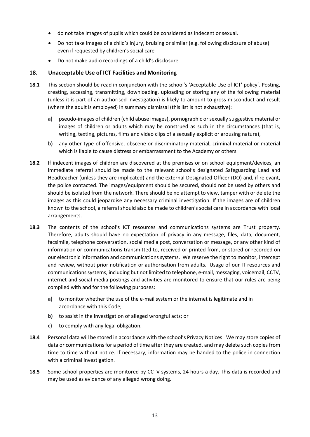- do not take images of pupils which could be considered as indecent or sexual.
- Do not take images of a child's injury, bruising or similar (e.g. following disclosure of abuse) even if requested by children's social care
- Do not make audio recordings of a child's disclosure

#### **18. Unacceptable Use of ICT Facilities and Monitoring**

- **18.1** This section should be read in conjunction with the school's 'Acceptable Use of ICT' policy'. Posting, creating, accessing, transmitting, downloading, uploading or storing any of the following material (unless it is part of an authorised investigation) is likely to amount to gross misconduct and result (where the adult is employed) in summary dismissal (this list is not exhaustive):
	- **a)** pseudo-images of children (child abuse images), pornographic or sexually suggestive material or images of children or adults which may be construed as such in the circumstances (that is, writing, texting, pictures, films and video clips of a sexually explicit or arousing nature),
	- **b)** any other type of offensive, obscene or discriminatory material, criminal material or material which is liable to cause distress or embarrassment to the Academy or others.
- **18.2** If indecent images of children are discovered at the premises or on school equipment/devices, an immediate referral should be made to the relevant school's designated Safeguarding Lead and Headteacher (unless they are implicated) and the external Designated Officer (DO) and, if relevant, the police contacted. The images/equipment should be secured, should not be used by others and should be isolated from the network. There should be no attempt to view, tamper with or delete the images as this could jeopardise any necessary criminal investigation. If the images are of children known to the school, a referral should also be made to children's social care in accordance with local arrangements.
- **18.3** The contents of the school's ICT resources and communications systems are Trust property. Therefore, adults should have no expectation of privacy in any message, files, data, document, facsimile, telephone conversation, social media post, conversation or message, or any other kind of information or communications transmitted to, received or printed from, or stored or recorded on our electronic information and communications systems. We reserve the right to monitor, intercept and review, without prior notification or authorisation from adults. Usage of our IT resources and communications systems, including but not limited to telephone, e-mail, messaging, voicemail, CCTV, internet and social media postings and activities are monitored to ensure that our rules are being complied with and for the following purposes:
	- **a)** to monitor whether the use of the e-mail system or the internet is legitimate and in accordance with this Code;
	- **b)** to assist in the investigation of alleged wrongful acts; or
	- **c)** to comply with any legal obligation.
- **18.4** Personal data will be stored in accordance with the school's Privacy Notices. We may store copies of data or communications for a period of time after they are created, and may delete such copies from time to time without notice. If necessary, information may be handed to the police in connection with a criminal investigation.
- **18.5** Some school properties are monitored by CCTV systems, 24 hours a day. This data is recorded and may be used as evidence of any alleged wrong doing.